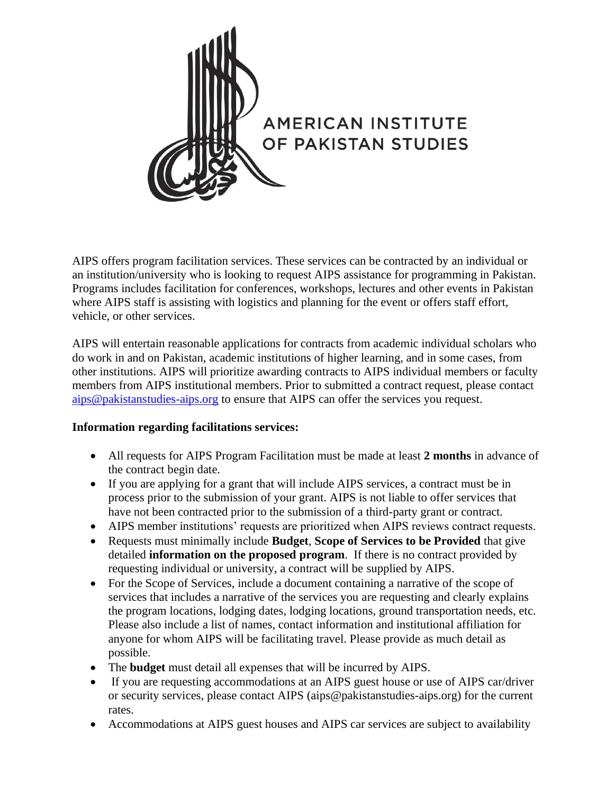

AIPS offers program facilitation services. These services can be contracted by an individual or an institution/university who is looking to request AIPS assistance for programming in Pakistan. Programs includes facilitation for conferences, workshops, lectures and other events in Pakistan where AIPS staff is assisting with logistics and planning for the event or offers staff effort, vehicle, or other services.

AIPS will entertain reasonable applications for contracts from academic individual scholars who do work in and on Pakistan, academic institutions of higher learning, and in some cases, from other institutions. AIPS will prioritize awarding contracts to AIPS individual members or faculty members from AIPS institutional members. Prior to submitted a contract request, please contact [aips@pakistanstudies-aips.org](mailto:aips@pakistanstudies-aips.org) to ensure that AIPS can offer the services you request.

## **Information regarding facilitations services:**

- All requests for AIPS Program Facilitation must be made at least **2 months** in advance of the contract begin date.
- If you are applying for a grant that will include AIPS services, a contract must be in process prior to the submission of your grant. AIPS is not liable to offer services that have not been contracted prior to the submission of a third-party grant or contract.
- AIPS member institutions' requests are prioritized when AIPS reviews contract requests.
- Requests must minimally include **Budget**, **Scope of Services to be Provided** that give detailed **information on the proposed program**. If there is no contract provided by requesting individual or university, a contract will be supplied by AIPS.
- For the Scope of Services, include a document containing a narrative of the scope of services that includes a narrative of the services you are requesting and clearly explains the program locations, lodging dates, lodging locations, ground transportation needs, etc. Please also include a list of names, contact information and institutional affiliation for anyone for whom AIPS will be facilitating travel. Please provide as much detail as possible.
- The **budget** must detail all expenses that will be incurred by AIPS.
- If you are requesting accommodations at an AIPS guest house or use of AIPS car/driver or security services, please contact AIPS (aips@pakistanstudies-aips.org) for the current rates.
- Accommodations at AIPS guest houses and AIPS car services are subject to availability